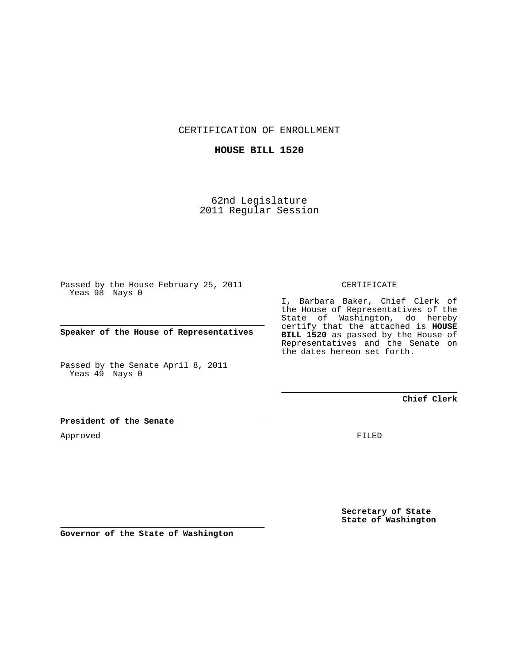CERTIFICATION OF ENROLLMENT

## **HOUSE BILL 1520**

62nd Legislature 2011 Regular Session

Passed by the House February 25, 2011 Yeas 98 Nays 0

**Speaker of the House of Representatives**

Passed by the Senate April 8, 2011 Yeas 49 Nays 0

## CERTIFICATE

I, Barbara Baker, Chief Clerk of the House of Representatives of the State of Washington, do hereby certify that the attached is **HOUSE BILL 1520** as passed by the House of Representatives and the Senate on the dates hereon set forth.

**Chief Clerk**

## **President of the Senate**

Approved

FILED

**Secretary of State State of Washington**

**Governor of the State of Washington**